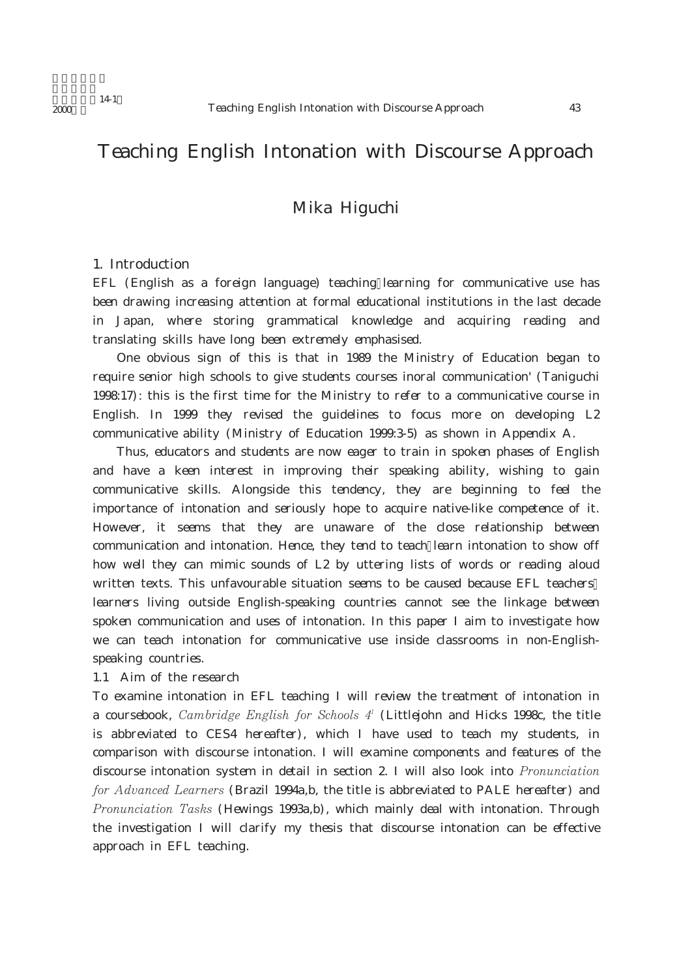# Teaching English Intonation with Discourse Approach

# Mika Higuchi

### 1. Introduction

EFL (English as a foreign language) teaching learning for communicative use has been drawing increasing attention at formal educational institutions in the last decade in Japan, where storing grammatical knowledge and acquiring reading and translating skills have long been extremely emphasised.

One obvious sign of this is that in 1989 the Ministry of Education began to require senior high schools to give students courses inoral communication' (Taniguchi 1998:17): this is the first time for the Ministry to refer to a communicative course in English. In 1999 they revised the guidelines to focus more on developing L2 communicative ability (Ministry of Education 1999:3-5) as shown in Appendix A.

Thus, educators and students are now eager to train in spoken phases of English and have a keen interest in improving their speaking ability, wishing to gain communicative skills. Alongside this tendency, they are beginning to feel the importance of intonation and seriously hope to acquire native-like competence of it. However, it seems that they are unaware of the close relationship between communication and intonation. Hence, they tend to teach learn intonation to show off how well they can mimic sounds of L2 by uttering lists of words or reading aloud written texts. This unfavourable situation seems to be caused because EFL teachers learners living outside English-speaking countries cannot see the linkage between spoken communication and uses of intonation. In this paper I aim to investigate how we can teach intonation for communicative use inside classrooms in non-Englishspeaking countries.

### 1.1 Aim of the research

To examine intonation in EFL teaching I will review the treatment of intonation in a coursebook, *Cambridge English for Schools 4'* (Littlejohn and Hicks 1998c, the title is abbreviated to CES4 hereafter), which I have used to teach my students, in comparison with discourse intonation. I will examine components and features of the discourse intonation system in detail in section 2. I will also look into *Pronunciation* for Advanced Learners (Brazil 1994a,b, the title is abbreviated to PALE hereafter) and Pronunciation Tasks (Hewings 1993a,b), which mainly deal with intonation. Through the investigation I will clarify my thesis that discourse intonation can be effective approach in EFL teaching.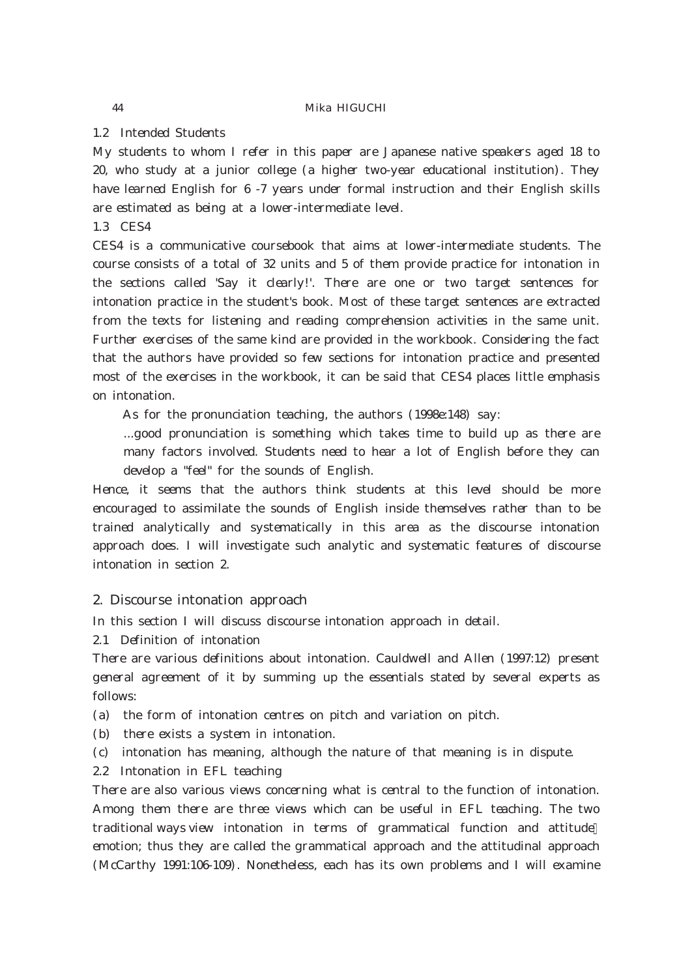1.2 Intended Students

My students to whom I refer in this paper are Japanese native speakers aged 18 to 20, who study at a junior college (a higher two-year educational institution). They have learned English for 6 -7 years under formal instruction and their English skills are estimated as being at a lower-intermediate level.

1.3 CES4

CES4 is a communicative coursebook that aims at lower-intermediate students. The course consists of a total of 32 units and 5 of them provide practice for intonation in the sections called 'Say it clearly!'. There are one or two target sentences for intonation practice in the student's book. Most of these target sentences are extracted from the texts for listening and reading comprehension activities in the same unit. Further exercises of the same kind are provided in the workbook. Considering the fact that the authors have provided so few sections for intonation practice and presented most of the exercises in the workbook, it can be said that CES4 places little emphasis on intonation.

As for the pronunciation teaching, the authors (1998e:148) say:

...good pronunciation is something which takes time to build up as there are many factors involved. Students need to hear a lot of English before they can develop a "feel" for the sounds of English.

Hence, it seems that the authors think students at this level should be more encouraged to assimilate the sounds of English inside themselves rather than to be trained analytically and systematically in this area as the discourse intonation approach does. I will investigate such analytic and systematic features of discourse intonation in section 2.

# 2. Discourse intonation approach

In this section I will discuss discourse intonation approach in detail.

2.1 Definition of intonation

There are various definitions about intonation. Cauldwell and Allen (1997:12) present general agreement of it by summing up the essentials stated by several experts as follows:

(a) the form of intonation centres on pitch and variation on pitch.

(b) there exists a system in intonation.

(c) intonation has meaning, although the nature of that meaning is in dispute.

2.2 Intonation in EFL teaching

There are also various views concerning what is central to the function of intonation. Among them there are three views which can be useful in EFL teaching. The two traditional ways view intonation in terms of grammatical function and attitude emotion; thus they are called the grammatical approach and the attitudinal approach (McCarthy 1991:106-109). Nonetheless, each has its own problems and I will examine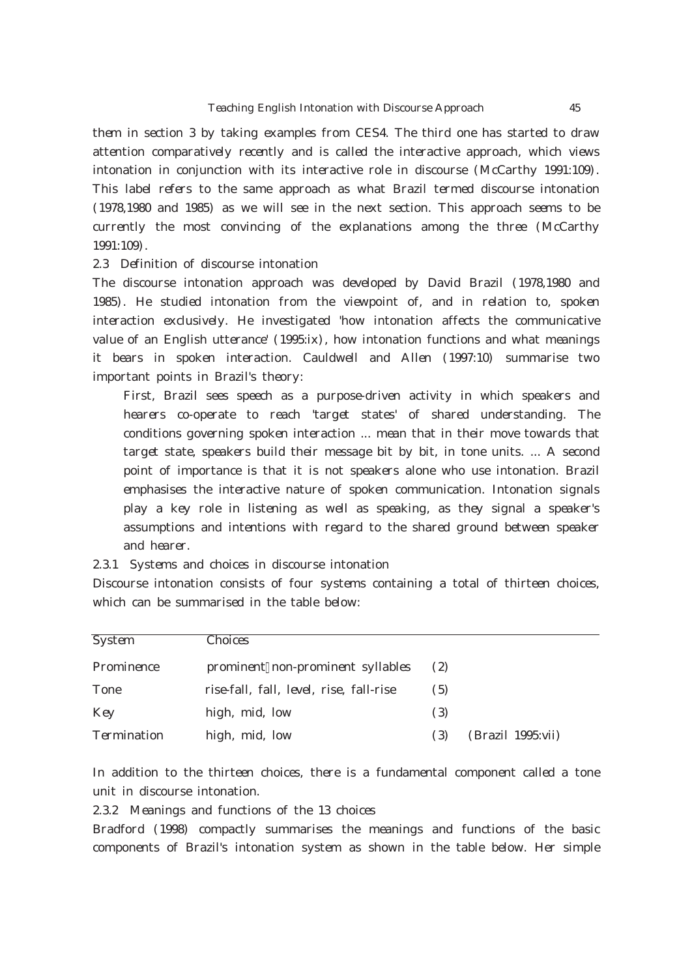them in section 3 by taking examples from CES4. The third one has started to draw attention comparatively recently and is called the interactive approach, which views intonation in conjunction with its interactive role in discourse (McCarthy 1991:109). This label refers to the same approach as what Brazil termed discourse intonation (1978,1980 and 1985) as we will see in the next section. This approach seems to be currently the most convincing of the explanations among the three (McCarthy 1991:109).

### 2.3 Definition of discourse intonation

The discourse intonation approach was developed by David Brazil (1978,1980 and 1985). He studied intonation from the viewpoint of, and in relation to, spoken interaction exclusively. He investigated 'how intonation affects the communicative value of an English utterance' (1995:ix), how intonation functions and what meanings it bears in spoken interaction. Cauldwell and Allen (1997:10) summarise two important points in Brazil's theory:

First, Brazil sees speech as a purpose-driven activity in which speakers and hearers co-operate to reach 'target states' of shared understanding. The conditions governing spoken interaction ... mean that in their move towards that target state, speakers build their message bit by bit, in tone units. ... A second point of importance is that it is not speakers alone who use intonation. Brazil emphasises the interactive nature of spoken communication. Intonation signals play a key role in listening as well as speaking, as they signal a speaker's assumptions and intentions with regard to the shared ground between speaker and hearer.

2.3.1 Systems and choices in discourse intonation

Discourse intonation consists of four systems containing a total of thirteen choices, which can be summarised in the table below:

| <b>System</b> | Choices                                 |                     |                   |
|---------------|-----------------------------------------|---------------------|-------------------|
| Prominence    | prominent non-prominent syllables       | (2)                 |                   |
| Tone          | rise-fall, fall, level, rise, fall-rise | (5)                 |                   |
| <b>K</b> ey   | high, mid, low                          | $\left( \,3\right)$ |                   |
| Termination   | high, mid, low                          | $\left( \,3\right)$ | (Brazil 1995 vii) |

In addition to the thirteen choices, there is a fundamental component called a tone unit in discourse intonation.

2.3.2 Meanings and functions of the 13 choices

Bradford (1998) compactly summarises the meanings and functions of the basic components of Brazil's intonation system as shown in the table below. Her simple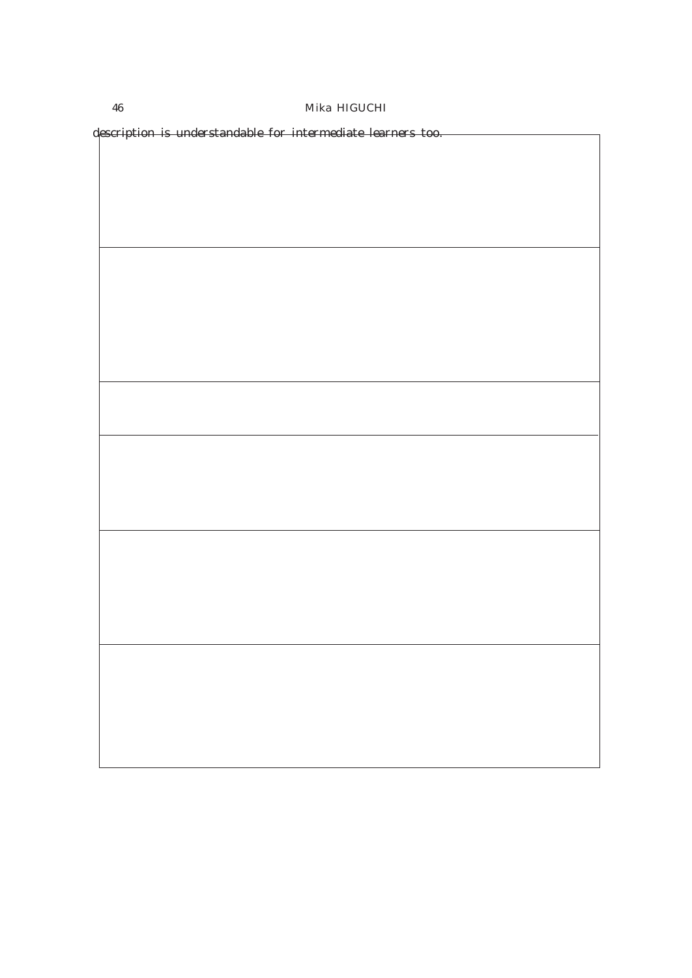description is understandable for intermediate learners too.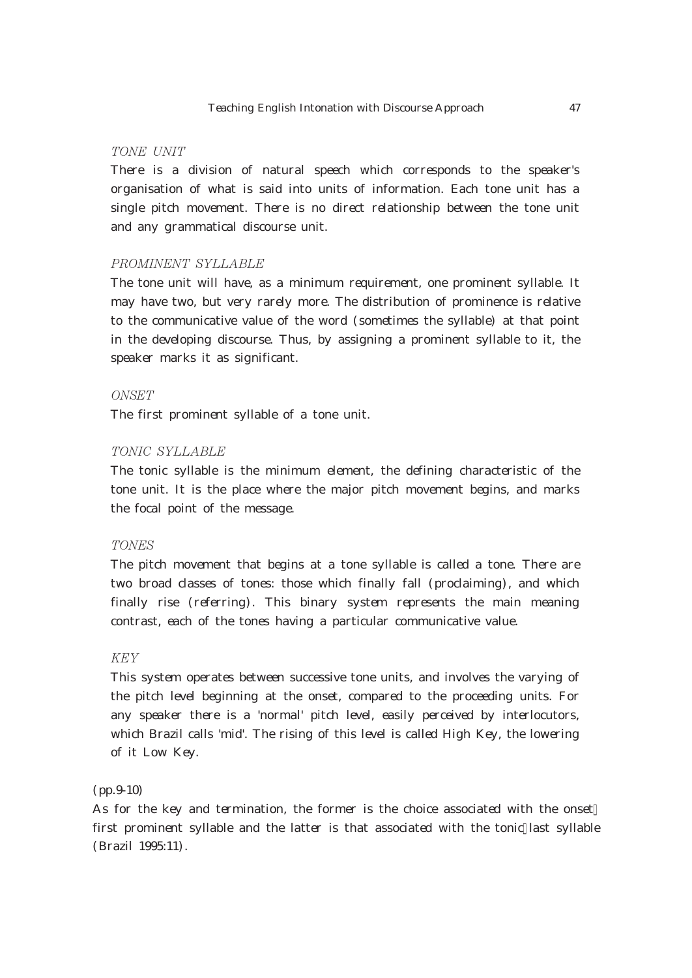### TONE UNIT

There is a division of natural speech which corresponds to the speaker's organisation of what is said into units of information. Each tone unit has a single pitch movement. There is no direct relationship between the tone unit and any grammatical discourse unit.

### PROMINENT SYLLABLE

The tone unit will have, as a minimum requirement, one prominent syllable. It may have two, but very rarely more. The distribution of prominence is relative to the communicative value of the word (sometimes the syllable) at that point in the developing discourse. Thus, by assigning a prominent syllable to it, the speaker marks it as significant.

### ONSET

The first prominent syllable of a tone unit.

### TONIC SYLLABLE

The tonic syllable is the minimum element, the defining characteristic of the tone unit. It is the place where the major pitch movement begins, and marks the focal point of the message.

#### **TONES**

The pitch movement that begins at a tone syllable is called a tone. There are two broad classes of tones: those which finally fall (proclaiming), and which finally rise (referring). This binary system represents the main meaning contrast, each of the tones having a particular communicative value.

# **KEY**

This system operates between successive tone units, and involves the varying of the pitch level beginning at the onset, compared to the proceeding units. For any speaker there is a 'normal' pitch level, easily perceived by interlocutors, which Brazil calls 'mid'. The rising of this level is called High Key, the lowering of it Low Key.

### (pp.9-10)

As for the key and termination, the former is the choice associated with the onset first prominent syllable and the latter is that associated with the tonic last syllable (Brazil 1995:11).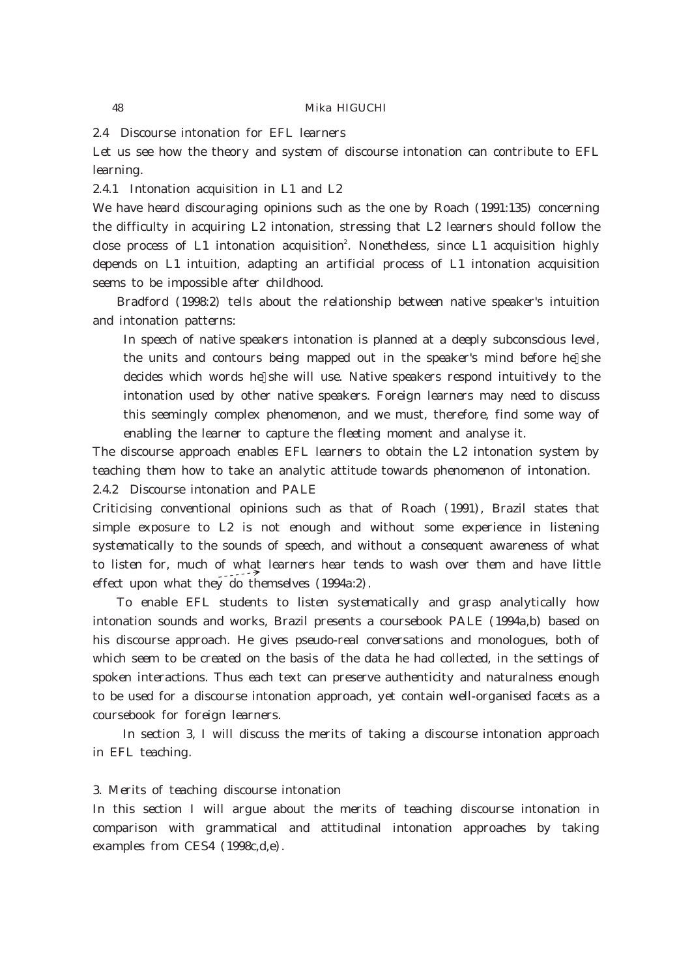2.4 Discourse intonation for EFL learners

Let us see how the theory and system of discourse intonation can contribute to EFL learning.

2.4.1 Intonation acquisition in L1 and L2

We have heard discouraging opinions such as the one by Roach (1991:135) concerning the difficulty in acquiring L2 intonation, stressing that L2 learners should follow the close process of L1 intonation acquisition<sup>2</sup>. Nonetheless, since L1 acquisition highly depends on L1 intuition, adapting an artificial process of L1 intonation acquisition seems to be impossible after childhood.

Bradford (1998.2) tells about the relationship between native speaker's intuition and intonation patterns:

In speech of native speakers intonation is planned at a deeply subconscious level, the units and contours being mapped out in the speaker's mind before he she decides which words he she will use. Native speakers respond intuitively to the intonation used by other native speakers. Foreign learners may need to discuss this seemingly complex phenomenon, and we must, therefore, find some way of enabling the learner to capture the fleeting moment and analyse it.

The discourse approach enables EFL learners to obtain the L2 intonation system by teaching them how to take an analytic attitude towards phenomenon of intonation. 2.4.2 Discourse intonation and PALE

Criticising conventional opinions such as that of Roach (1991), Brazil states that simple exposure to L2 is not enough and without some experience in listening systematically to the sounds of speech, and without a consequent awareness of what to listen for, much of what learners hear tends to wash over them and have little effect upon what they do themselves (1994a:2).

To enable EFL students to listen systematically and grasp analytically how intonation sounds and works, Brazil presents a coursebook PALE (1994a,b) based on his discourse approach. He gives pseudo-real conversations and monologues, both of which seem to be created on the basis of the data he had collected, in the settings of spoken interactions. Thus each text can preserve authenticity and naturalness enough to be used for a discourse intonation approach, yet contain well-organised facets as a coursebook for foreign learners.

In section 3, I will discuss the merits of taking a discourse intonation approach in EFL teaching.

### 3. Merits of teaching discourse intonation

In this section I will argue about the merits of teaching discourse intonation in comparison with grammatical and attitudinal intonation approaches by taking examples from CES4 (1998c,d,e).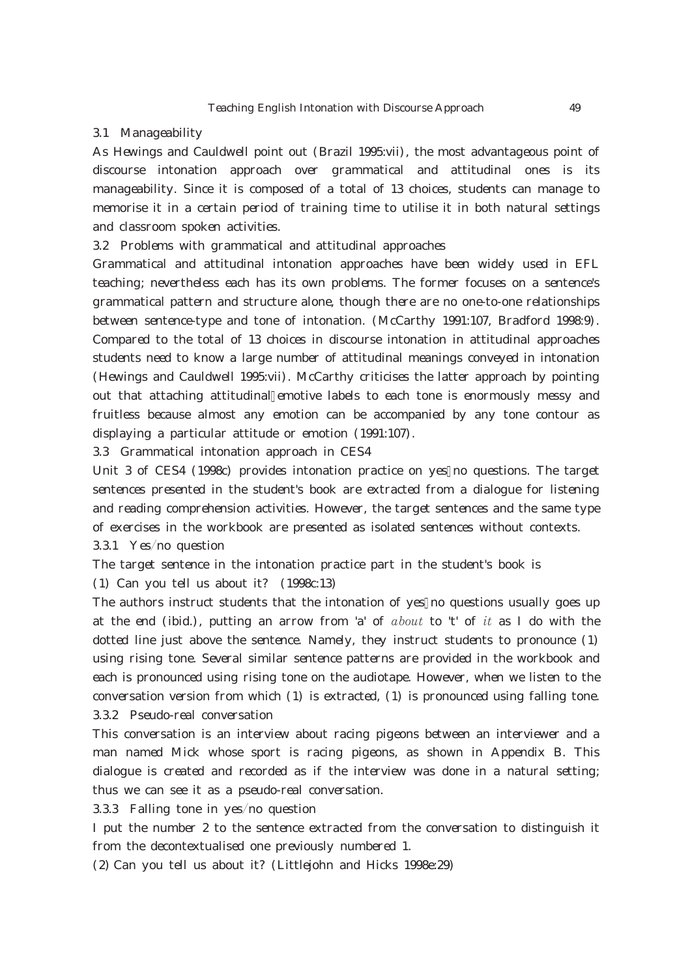#### 3.1 Manageability

As Hewings and Cauldwell point out (Brazil 1995:vii), the most advantageous point of discourse intonation approach over grammatical and attitudinal ones is its manageability. Since it is composed of a total of 13 choices, students can manage to memorise it in a certain period of training time to utilise it in both natural settings and classroom spoken activities.

3.2 Problems with grammatical and attitudinal approaches

Grammatical and attitudinal intonation approaches have been widely used in EFL teaching; nevertheless each has its own problems. The former focuses on a sentence's grammatical pattern and structure alone, though there are no one-to-one relationships between sentence-type and tone of intonation. (McCarthy 1991:107, Bradford 1998:9). Compared to the total of 13 choices in discourse intonation in attitudinal approaches students need to know a large number of attitudinal meanings conveyed in intonation (Hewings and Cauldwell 1995:vii). McCarthy criticises the latter approach by pointing out that attaching attitudinal emotive labels to each tone is enormously messy and fruitless because almost any emotion can be accompanied by any tone contour as displaying a particular attitude or emotion (1991:107).

3.3 Grammatical intonation approach in CES4

Unit 3 of CES4 (1998c) provides intonation practice on yes no questions. The target sentences presented in the student's book are extracted from a dialogue for listening and reading comprehension activities. However, the target sentences and the same type of exercises in the workbook are presented as isolated sentences without contexts.  $331$  Yes/no question

The target sentence in the intonation practice part in the student's book is

(1) Can you tell us about it? (1998c:13)

The authors instruct students that the intonation of yes no questions usually goes up at the end (ibid.), putting an arrow from 'a' of  $about$  to 't' of it as I do with the dotted line just above the sentence. Namely, they instruct students to pronounce (1) using rising tone. Several similar sentence patterns are provided in the workbook and each is pronounced using rising tone on the audiotape. However, when we listen to the conversation version from which (1) is extracted, (1) is pronounced using falling tone. 3.3.2 Pseudo-real conversation

This conversation is an interview about racing pigeons between an interviewer and a man named Mick whose sport is racing pigeons, as shown in Appendix B. This dialogue is created and recorded as if the interview was done in a natural setting; thus we can see it as a pseudo-real conversation.

 $333$  Falling tone in yes/no question

I put the number 2 to the sentence extracted from the conversation to distinguish it from the decontextualised one previously numbered 1.

(2) Can you tell us about it? (Littlejohn and Hicks 1998e:29)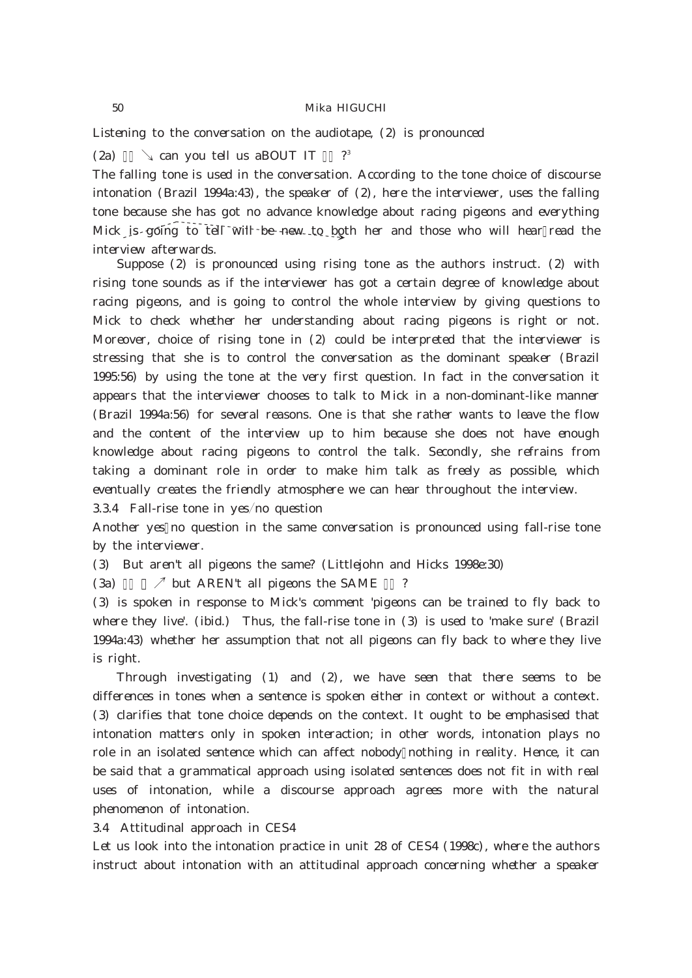Listening to the conversation on the audiotape, (2) is pronounced

(2a)  $\qquad$  can you tell us aBOUT IT ?<sup>3</sup>

The falling tone is used in the conversation. According to the tone choice of discourse intonation (Brazil 1994a: 43), the speaker of  $(2)$ , here the interviewer, uses the falling tone because she has got no advance knowledge about racing pigeons and everything Mick is going to tell will be new to both her and those who will hear read the interview afterwards.

Suppose  $(2)$  is pronounced using rising tone as the authors instruct.  $(2)$  with rising tone sounds as if the interviewer has got a certain degree of knowledge about racing pigeons, and is going to control the whole interview by giving questions to Mick to check whether her understanding about racing pigeons is right or not. Moreover, choice of rising tone in (2) could be interpreted that the interviewer is stressing that she is to control the conversation as the dominant speaker (Brazil 1995:56) by using the tone at the very first question. In fact in the conversation it appears that the interviewer chooses to talk to Mick in a non-dominant-like manner (Brazil 1994a:56) for several reasons. One is that she rather wants to leave the flow and the content of the interview up to him because she does not have enough knowledge about racing pigeons to control the talk. Secondly, she refrains from taking a dominant role in order to make him talk as freely as possible, which eventually creates the friendly atmosphere we can hear throughout the interview.

 $334$  Fall-rise tone in yes/no question

Another yes no question in the same conversation is pronounced using fall-rise tone by the interviewer.

(3) But aren't all pigeons the same? (Littlejohn and Hicks 1998e:30)

 $(3a)$  $\mathcal{I}$  but AREN't all pigeons the SAME ?

(3) is spoken in response to Mick's comment 'pigeons can be trained to fly back to where they live'. (ibid.) Thus, the fall-rise tone in (3) is used to 'make sure' (Brazil 1994a:43) whether her assumption that not all pigeons can fly back to where they live is right.

Through investigating  $(1)$  and  $(2)$ , we have seen that there seems to be differences in tones when a sentence is spoken either in context or without a context. (3) clarifies that tone choice depends on the context. It ought to be emphasised that intonation matters only in spoken interaction; in other words, intonation plays no role in an isolated sentence which can affect nobody nothing in reality. Hence, it can be said that a grammatical approach using isolated sentences does not fit in with real uses of intonation, while a discourse approach agrees more with the natural phenomenon of intonation.

3.4 Attitudinal approach in CES4

Let us look into the intonation practice in unit 28 of CES4 (1998c), where the authors instruct about intonation with an attitudinal approach concerning whether a speaker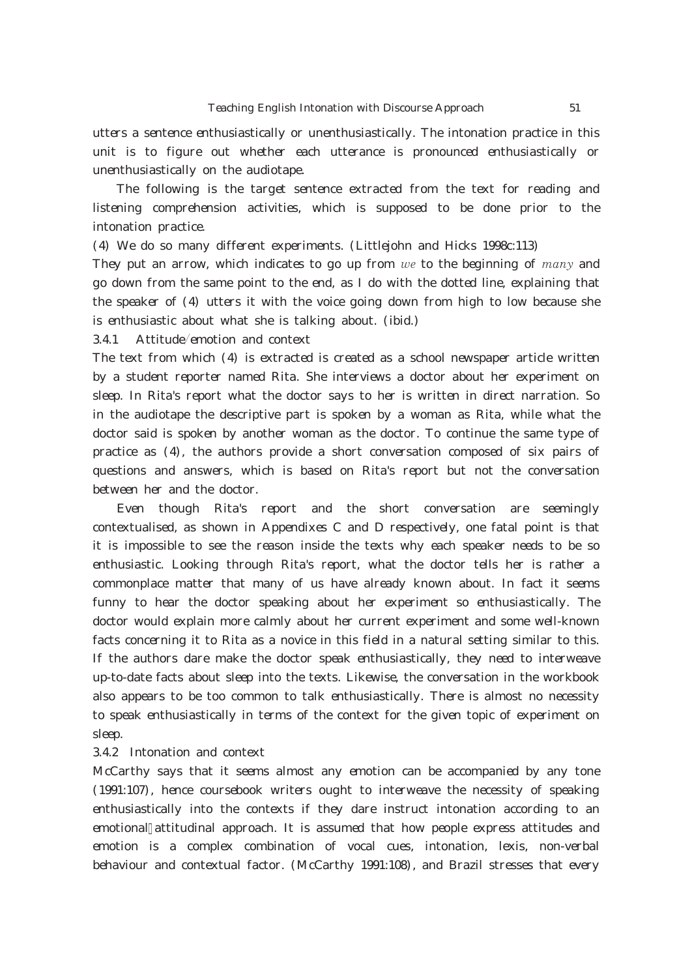utters a sentence enthusiastically or unenthusiastically. The intonation practice in this unit is to figure out whether each utterance is pronounced enthusiastically or unenthusiastically on the audiotape.

The following is the target sentence extracted from the text for reading and listening comprehension activities, which is supposed to be done prior to the intonation practice.

(4) We do so many different experiments. (Littlejohn and Hicks 1998c:113)

They put an arrow, which indicates to go up from  $we$  to the beginning of many and go down from the same point to the end, as I do with the dotted line, explaining that the speaker of (4) utters it with the voice going down from high to low because she is enthusiastic about what she is talking about. (ibid.)

 $34.1$  Attitude/emotion and context

The text from which (4) is extracted is created as a school newspaper article written by a student reporter named Rita. She interviews a doctor about her experiment on sleep. In Rita's report what the doctor says to her is written in direct narration. So in the audiotape the descriptive part is spoken by a woman as Rita, while what the doctor said is spoken by another woman as the doctor. To continue the same type of practice as (4), the authors provide a short conversation composed of six pairs of questions and answers, which is based on Rita's report but not the conversation between her and the doctor.

Even though Rita's report and the short conversation are seemingly contextualised, as shown in Appendixes C and D respectively, one fatal point is that it is impossible to see the reason inside the texts why each speaker needs to be so enthusiastic. Looking through Rita's report, what the doctor tells her is rather a commonplace matter that many of us have already known about. In fact it seems funny to hear the doctor speaking about her experiment so enthusiastically. The doctor would explain more calmly about her current experiment and some well-known facts concerning it to Rita as a novice in this field in a natural setting similar to this. If the authors dare make the doctor speak enthusiastically, they need to interweave up-to-date facts about sleep into the texts. Likewise, the conversation in the workbook also appears to be too common to talk enthusiastically. There is almost no necessity to speak enthusiastically in terms of the context for the given topic of experiment on sleep.

## 3.4.2 Intonation and context

McCarthy says that it seems almost any emotion can be accompanied by any tone (1991:107), hence coursebook writers ought to interweave the necessity of speaking enthusiastically into the contexts if they dare instruct intonation according to an emotional attitudinal approach. It is assumed that how people express attitudes and emotion is a complex combination of vocal cues, intonation, lexis, non-verbal behaviour and contextual factor. (McCarthy 1991:108), and Brazil stresses that every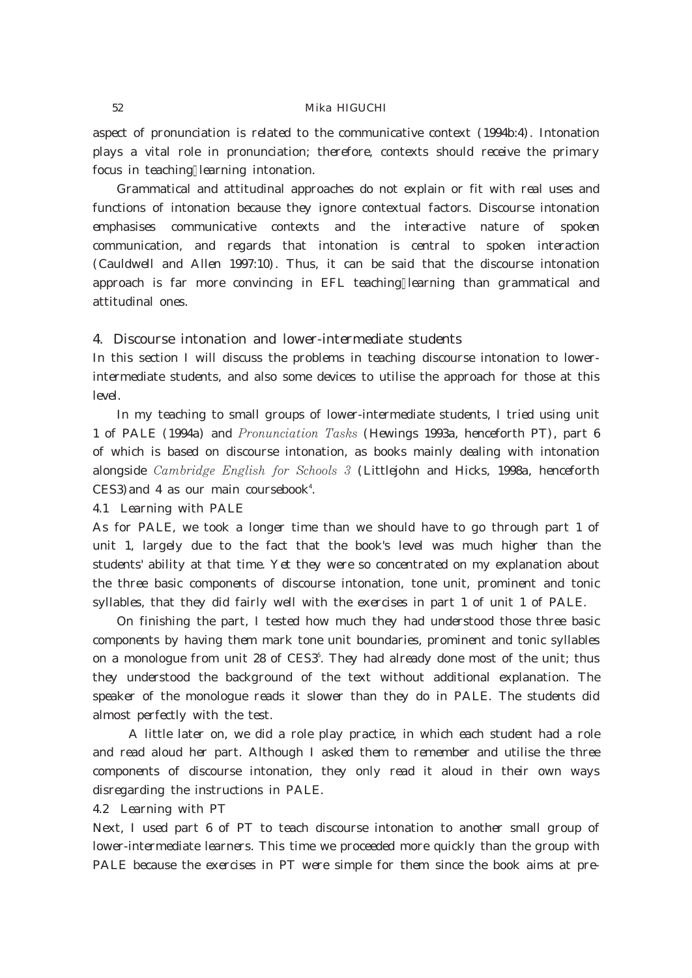aspect of pronunciation is related to the communicative context (1994b:4). Intonation plays a vital role in pronunciation; therefore, contexts should receive the primary focus in teaching learning intonation.

Grammatical and attitudinal approaches do not explain or fit with real uses and functions of intonation because they ignore contextual factors. Discourse intonation emphasises communicative contexts and the interactive nature of spoken communication, and regards that intonation is central to spoken interaction (Cauldwell and Allen 1997:10). Thus, it can be said that the discourse intonation approach is far more convincing in EFL teaching learning than grammatical and attitudinal ones.

### 4. Discourse intonation and lower-intermediate students

In this section I will discuss the problems in teaching discourse intonation to lowerintermediate students, and also some devices to utilise the approach for those at this level.

In my teaching to small groups of lower-intermediate students, I tried using unit 1 of PALE (1994a) and *Pronunciation Tasks* (Hewings 1993a, henceforth PT), part  $6$ of which is based on discourse intonation, as books mainly dealing with intonation alongside Cambridge English for Schools 3 (Littlejohn and Hicks, 1998a, henceforth  $CES3$  and 4 as our main coursebook<sup>4</sup>.

4.1 Learning with PALE

As for PALE, we took a longer time than we should have to go through part 1 of unit 1, largely due to the fact that the book's level was much higher than the students' ability at that time. Yet they were so concentrated on my explanation about the three basic components of discourse intonation, tone unit, prominent and tonic syllables, that they did fairly well with the exercises in part 1 of unit 1 of PALE.

On finishing the part, I tested how much they had understood those three basic components by having them mark tone unit boundaries, prominent and tonic syllables on a monologue from unit 28 of CESS. They had already done most of the unit; thus they understood the background of the text without additional explanation. The speaker of the monologue reads it slower than they do in PALE. The students did almost perfectly with the test.

A little later on, we did a role play practice, in which each student had a role and read aloud her part. Although I asked them to remember and utilise the three components of discourse intonation, they only read it aloud in their own ways disregarding the instructions in PALE.

4.2 Learning with PT

Next, I used part 6 of PT to teach discourse intonation to another small group of lower-intermediate learners. This time we proceeded more quickly than the group with PALE because the exercises in PT were simple for them since the book aims at pre-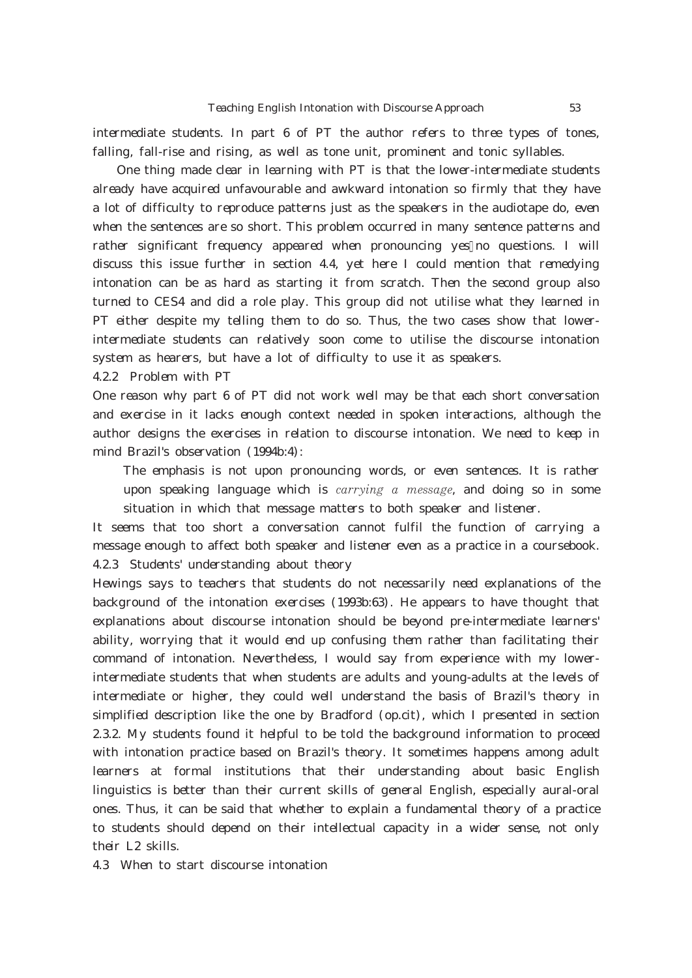intermediate students. In part 6 of PT the author refers to three types of tones, falling, fall-rise and rising, as well as tone unit, prominent and tonic syllables.

One thing made clear in learning with PT is that the lower-intermediate students already have acquired unfavourable and awkward intonation so firmly that they have a lot of difficulty to reproduce patterns just as the speakers in the audiotape do, even when the sentences are so short. This problem occurred in many sentence patterns and rather significant frequency appeared when pronouncing yes no questions. I will discuss this issue further in section  $4.4$ , yet here I could mention that remedying intonation can be as hard as starting it from scratch. Then the second group also turned to CES4 and did a role play. This group did not utilise what they learned in PT either despite my telling them to do so. Thus, the two cases show that lowerintermediate students can relatively soon come to utilise the discourse intonation system as hearers, but have a lot of difficulty to use it as speakers.

4.2.2 Problem with PT

One reason why part 6 of PT did not work well may be that each short conversation and exercise in it lacks enough context needed in spoken interactions, although the author designs the exercises in relation to discourse intonation. We need to keep in mind Brazil's observation (1994b:4):

The emphasis is not upon pronouncing words, or even sentences. It is rather upon speaking language which is *carrying a message*, and doing so in some situation in which that message matters to both speaker and listener.

It seems that too short a conversation cannot fulfil the function of carrying a message enough to affect both speaker and listener even as a practice in a coursebook. 4.2.3 Students' understanding about theory

Hewings says to teachers that students do not necessarily need explanations of the background of the intonation exercises (1993b:63). He appears to have thought that explanations about discourse intonation should be beyond pre-intermediate learners' ability, worrying that it would end up confusing them rather than facilitating their command of intonation. Nevertheless, I would say from experience with my lowerintermediate students that when students are adults and young-adults at the levels of intermediate or higher, they could well understand the basis of Brazil's theory in simplified description like the one by Bradford (op.cit), which I presented in section 2.3.2. My students found it helpful to be told the background information to proceed with intonation practice based on Brazil's theory. It sometimes happens among adult learners at formal institutions that their understanding about basic English linguistics is better than their current skills of general English, especially aural-oral ones. Thus, it can be said that whether to explain a fundamental theory of a practice to students should depend on their intellectual capacity in a wider sense, not only their L2 skills.

4.3 When to start discourse intonation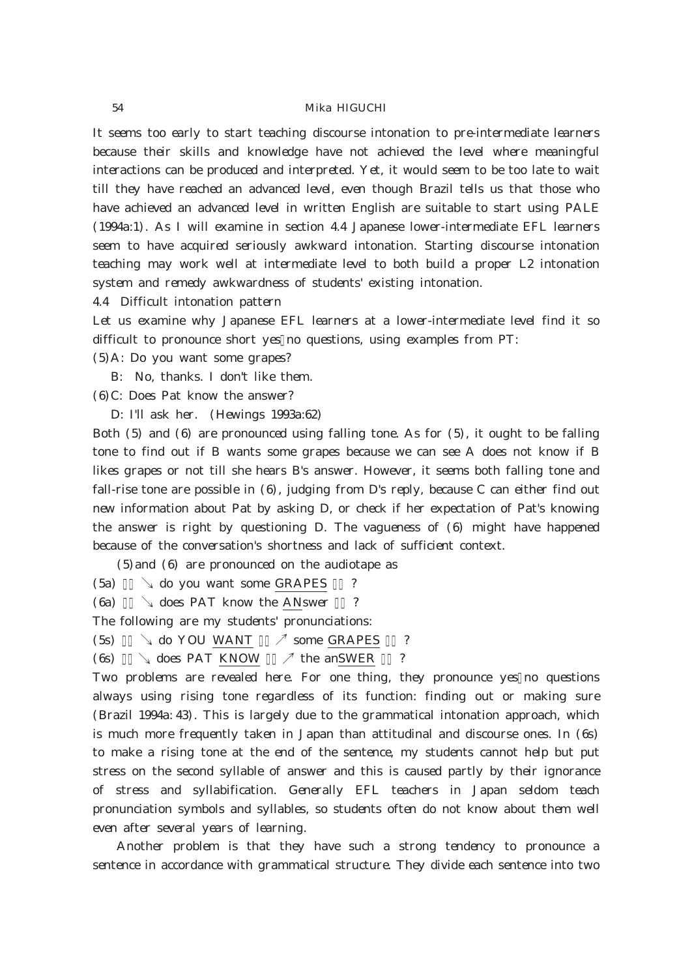It seems too early to start teaching discourse intonation to pre-intermediate learners because their skills and knowledge have not achieved the level where meaningful interactions can be produced and interpreted. Yet, it would seem to be too late to wait till they have reached an advanced level, even though Brazil tells us that those who have achieved an advanced level in written English are suitable to start using PALE (1994a:1). As I will examine in section 4.4 Japanese lower-intermediate EFL learners seem to have acquired seriously awkward intonation. Starting discourse intonation teaching may work well at intermediate level to both build a proper L2 intonation system and remedy awkwardness of students' existing intonation.

4.4 Difficult intonation pattern

Let us examine why Japanese EFL learners at a lower-intermediate level find it so difficult to pronounce short yes no questions, using examples from PT:

(5)A: Do you want some grapes?

B: No, thanks. I don't like them.

(6)C: Does Pat know the answer?

D: I'll ask her. (Hewings 1993a:62)

Both (5) and (6) are pronounced using falling tone. As for (5), it ought to be falling tone to find out if B wants some grapes because we can see A does not know if B likes grapes or not till she hears B's answer. However, it seems both falling tone and fall-rise tone are possible in (6), judging from D's reply, because C can either find out new information about Pat by asking D, or check if her expectation of Pat's knowing the answer is right by questioning D. The vagueness of (6) might have happened because of the conversation's shortness and lack of sufficient context.

(5)and (6) are pronounced on the audiotape as

 $(5a)$   $\downarrow$  do you want some GRAPES ?

 $(6a)$   $\downarrow$  does PAT know the ANswer ?

The following are my students' pronunciations:

 $(5s) \qquad \searrow$  do YOU WANT  $\sqrt{ }$  some GRAPES ?

(6s)  $\downarrow$  does PAT KNOW  $\quad$  the anSWER ?

Two problems are revealed here. For one thing, they pronounce yes no questions always using rising tone regardless of its function: finding out or making sure (Brazil 1994a: 43). This is largely due to the grammatical intonation approach, which is much more frequently taken in Japan than attitudinal and discourse ones. In (6s) to make a rising tone at the end of the sentence, my students cannot help but put stress on the second syllable of answer and this is caused partly by their ignorance of stress and syllabification. Generally EFL teachers in Japan seldom teach pronunciation symbols and syllables, so students often do not know about them well even after several years of learning.

Another problem is that they have such a strong tendency to pronounce a sentence in accordance with grammatical structure. They divide each sentence into two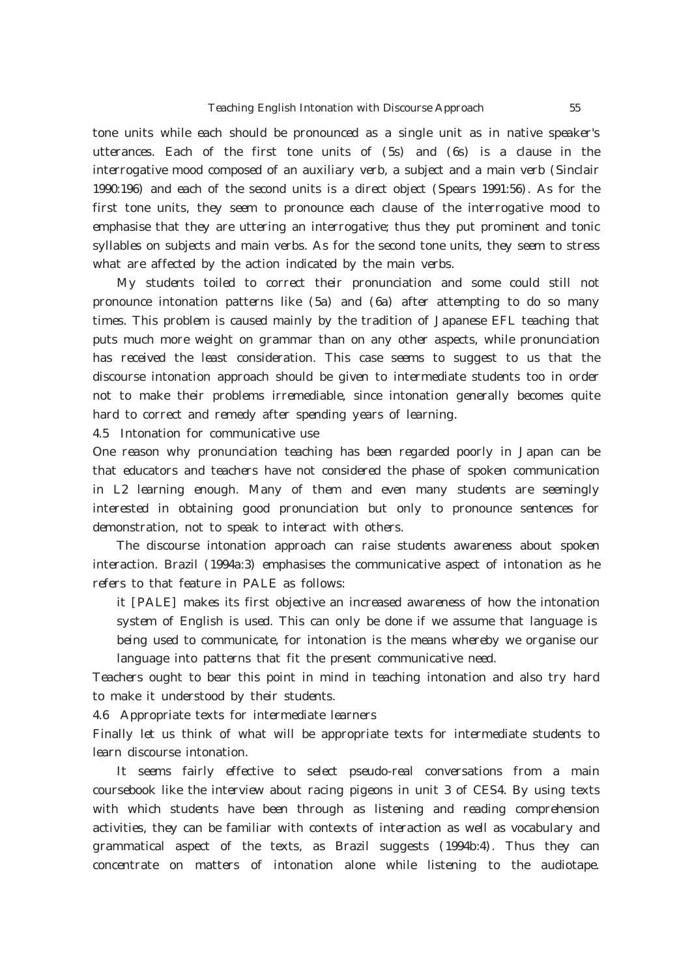tone units while each should be pronounced as a single unit as in native speaker's utterances. Each of the first tone units of (5s) and (6s) is a clause in the interrogative mood composed of an auxiliary verb, a subject and a main verb (Sinclair 1990:196) and each of the second units is a direct object (Spears 1991:56). As for the first tone units, they seem to pronounce each clause of the interrogative mood to emphasise that they are uttering an interrogative; thus they put prominent and tonic syllables on subjects and main verbs. As for the second tone units, they seem to stress what are affected by the action indicated by the main verbs.

My students toiled to correct their pronunciation and some could still not pronounce intonation patterns like (5a) and (6a) after attempting to do so many times. This problem is caused mainly by the tradition of Japanese EFL teaching that puts much more weight on grammar than on any other aspects, while pronunciation has received the least consideration. This case seems to suggest to us that the discourse intonation approach should be given to intermediate students too in order not to make their problems irremediable, since intonation generally becomes quite hard to correct and remedy after spending years of learning.

4.5 Intonation for communicative use

One reason why pronunciation teaching has been regarded poorly in Japan can be that educators and teachers have not considered the phase of spoken communication in L2 learning enough. Many of them and even many students are seemingly interested in obtaining good pronunciation but only to pronounce sentences for demonstration, not to speak to interact with others.

The discourse intonation approach can raise students awareness about spoken interaction. Brazil (1994a:3) emphasises the communicative aspect of intonation as he refers to that feature in PALE as follows:

it [PALE] makes its first objective an increased awareness of how the intonation system of English is used. This can only be done if we assume that language is being used to communicate, for intonation is the means whereby we organise our language into patterns that fit the present communicative need.

Teachers ought to bear this point in mind in teaching intonation and also try hard to make it understood by their students.

4.6 Appropriate texts for intermediate learners

Finally let us think of what will be appropriate texts for intermediate students to learn discourse intonation.

It seems fairly effective to select pseudo-real conversations from a main coursebook like the interview about racing pigeons in unit 3 of CES4. By using texts with which students have been through as listening and reading comprehension activities, they can be familiar with contexts of interaction as well as vocabulary and grammatical aspect of the texts, as Brazil suggests (1994b:4). Thus they can concentrate on matters of intonation alone while listening to the audiotape.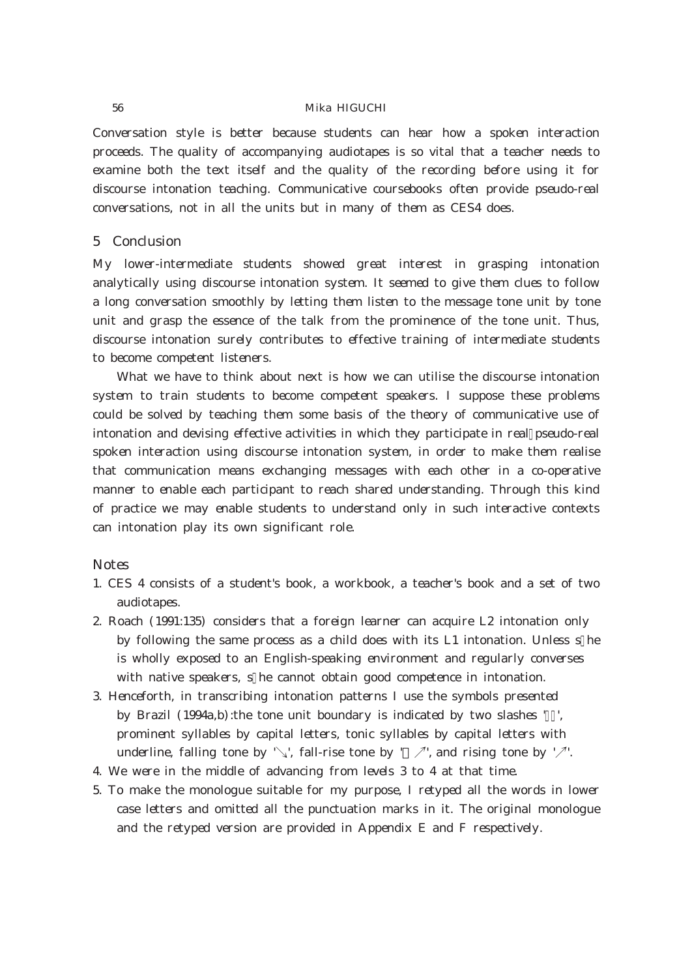Conversation style is better because students can hear how a spoken interaction proceeds. The quality of accompanying audiotapes is so vital that a teacher needs to examine both the text itself and the quality of the recording before using it for discourse intonation teaching. Communicative coursebooks often provide pseudo-real conversations, not in all the units but in many of them as CES4 does.

# 5 Conclusion

My lower-intermediate students showed great interest in grasping intonation analytically using discourse intonation system. It seemed to give them clues to follow a long conversation smoothly by letting them listen to the message tone unit by tone unit and grasp the essence of the talk from the prominence of the tone unit. Thus, discourse intonation surely contributes to effective training of intermediate students to become competent listeners.

What we have to think about next is how we can utilise the discourse intonation system to train students to become competent speakers. I suppose these problems could be solved by teaching them some basis of the theory of communicative use of intonation and devising effective activities in which they participate in real pseudo-real spoken interaction using discourse intonation system, in order to make them realise that communication means exchanging messages with each other in a co-operative manner to enable each participant to reach shared understanding. Through this kind of practice we may enable students to understand only in such interactive contexts can intonation play its own significant role.

# **Notes**

- 1. CES 4 consists of a student's book, a workbook, a teacher's book and a set of two audiotapes.
- 2. Roach (1991:135) considers that a foreign learner can acquire L2 intonation only by following the same process as a child does with its L1 intonation. Unless s he is wholly exposed to an English-speaking environment and regularly converses with native speakers, s he cannot obtain good competence in intonation.
- 3. Henceforth, in transcribing intonation patterns I use the symbols presented by Brazil (1994a,b): the tone unit boundary is indicated by two slashes ', prominent syllables by capital letters, tonic syllables by capital letters with underline, falling tone by '\,', fall-rise tone by '  $\nearrow$ ', and rising tone by ' $\nearrow$ '.
- 4. We were in the middle of advancing from levels 3 to 4 at that time.
- 5. To make the monologue suitable for my purpose, I retyped all the words in lower case letters and omitted all the punctuation marks in it. The original monologue and the retyped version are provided in Appendix E and F respectively.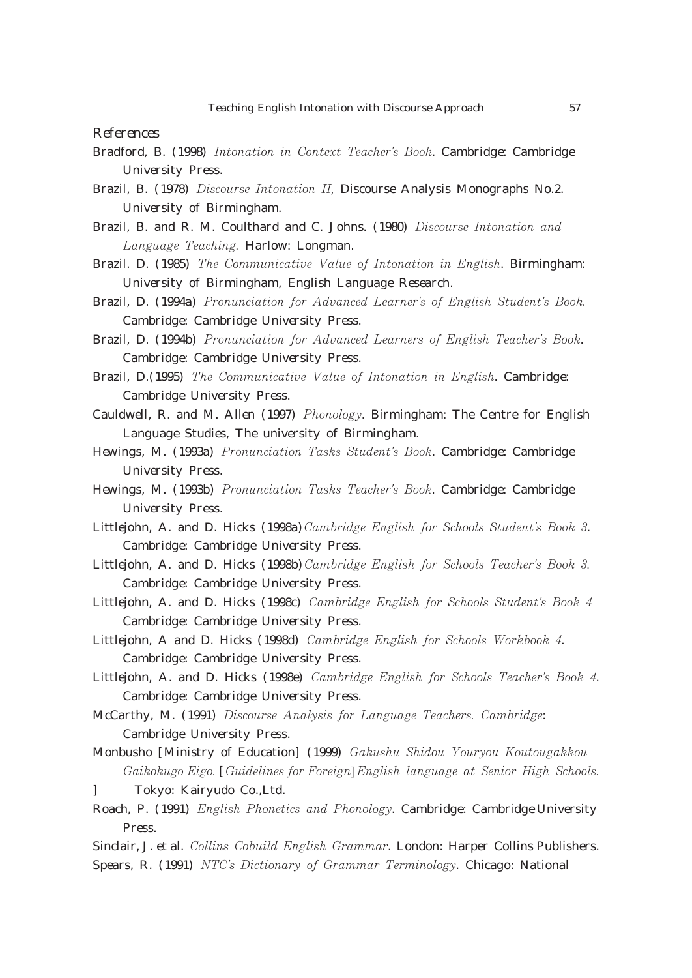References

- Bradford, B. (1998) Intonation in Context Teacher's Book. Cambridge: Cambridge University Press.
- Brazil, B. (1978) *Discourse Intonation II*, Discourse Analysis Monographs No.2. University of Birmingham.
- Brazil, B. and R. M. Coulthard and C. Johns. (1980) Discourse Intonation and Language Teaching. Harlow: Longman.
- Brazil. D. (1985) The Communicative Value of Intonation in English. Birmingham: University of Birmingham, English Language Research.
- Brazil, D. (1994a) Pronunciation for Advanced Learner's of English Student's Book. Cambridge: Cambridge University Press.
- Brazil, D. (1994b) Pronunciation for Advanced Learners of English Teacher's Book. Cambridge: Cambridge University Press.
- Brazil, D. (1995) The Communicative Value of Intonation in English. Cambridge: Cambridge University Press.
- Cauldwell, R. and M. Allen (1997) *Phonology*. Birmingham: The Centre for English Language Studies, The university of Birmingham.
- Hewings, M. (1993a) Pronunciation Tasks Student's Book. Cambridge: Cambridge University Press.
- Hewings, M. (1993b) *Pronunciation Tasks Teacher's Book*. Cambridge: Cambridge University Press.
- Littlejohn, A. and D. Hicks (1998a) Cambridge English for Schools Student's Book 3. Cambridge: Cambridge University Press.
- Littlejohn, A. and D. Hicks (1998b) Cambridge English for Schools Teacher's Book 3. Cambridge: Cambridge University Press.
- Littlejohn, A. and D. Hicks (1998c) Cambridge English for Schools Student's Book 4 Cambridge: Cambridge University Press.
- Littlejohn, A and D. Hicks (1998d) Cambridge English for Schools Workbook 4. Cambridge: Cambridge University Press.
- Littlejohn, A. and D. Hicks (1998e) Cambridge English for Schools Teacher's Book 4. Cambridge: Cambridge University Press.
- McCarthy, M. (1991) Discourse Analysis for Language Teachers. Cambridge: Cambridge University Press.
- Monbusho [Ministry of Education] (1999) Gakushu Shidou Youryou Koutougakkou Gaikokugo Eigo. [Guidelines for Foreign English language at Senior High Schools.
- ] Tokyo: Kairyudo Co.,Ltd.
- Roach, P. (1991) English Phonetics and Phonology. Cambridge: Cambridge University Press.
- Sinclair, J. et al. *Collins Cobuild English Grammar*. London: Harper Collins Publishers. Spears, R. (1991) NTC's Dictionary of Grammar Terminology. Chicago: National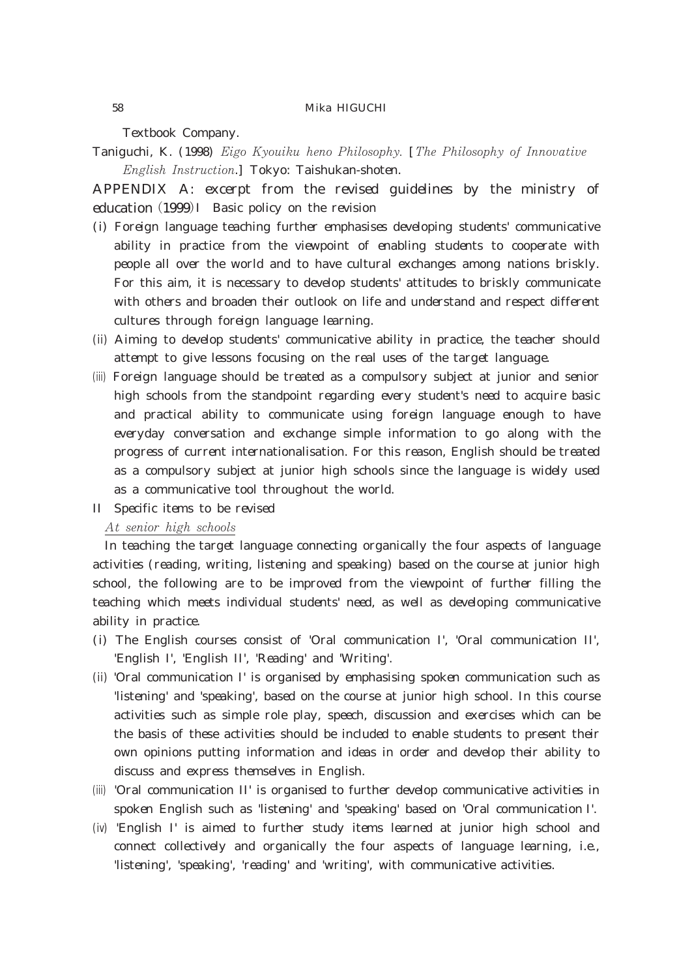Textbook Company.

Taniguchi, K. (1998) *Eigo Kyouiku heno Philosophy.* [*The Philosophy of Innovative* English Instruction.] Tokyo: Taishukan-shoten.

APPENDIX A: excerpt from the revised guidelines by the ministry of education (1999) I Basic policy on the revision

- (i) Foreign language teaching further emphasises developing students' communicative ability in practice from the viewpoint of enabling students to cooperate with people all over the world and to have cultural exchanges among nations briskly. For this aim, it is necessary to develop students' attitudes to briskly communicate with others and broaden their outlook on life and understand and respect different cultures through foreign language learning.
- (ii) Aiming to develop students' communicative ability in practice, the teacher should attempt to give lessons focusing on the real uses of the target language.
- (iii) Foreign language should be treated as a compulsory subject at junior and senior high schools from the standpoint regarding every student's need to acquire basic and practical ability to communicate using foreign language enough to have everyday conversation and exchange simple information to go along with the progress of current internationalisation. For this reason, English should be treated as a compulsory subject at junior high schools since the language is widely used as a communicative tool throughout the world.
- II Specific items to be revised

# At senior high schools

In teaching the target language connecting organically the four aspects of language activities (reading, writing, listening and speaking) based on the course at junior high school, the following are to be improved from the viewpoint of further filling the teaching which meets individual students' need, as well as developing communicative ability in practice.

- (i) The English courses consist of 'Oral communication I', 'Oral communication II', 'English I', 'English II', 'Reading' and 'Writing'.
- (ii) 'Oral communication I' is organised by emphasising spoken communication such as 'listening' and 'speaking', based on the course at junior high school. In this course activities such as simple role play, speech, discussion and exercises which can be the basis of these activities should be included to enable students to present their own opinions putting information and ideas in order and develop their ability to discuss and express themselves in English.
- (iii) 'Oral communication II' is organised to further develop communicative activities in spoken English such as 'listening' and 'speaking' based on 'Oral communication I'.
- (iv) 'English I' is aimed to further study items learned at junior high school and connect collectively and organically the four aspects of language learning, i.e., 'listening', 'speaking', 'reading' and 'writing', with communicative activities.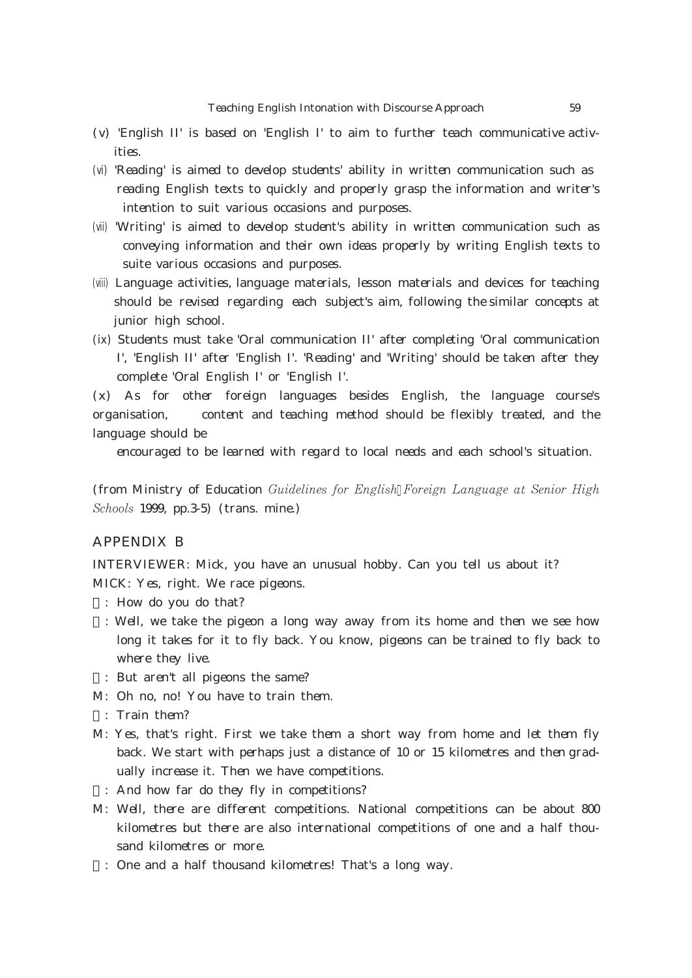- (v) 'English II' is based on 'English I' to aim to further teach communicative activities.
- (vi) 'Reading' is aimed to develop students' ability in written communication such as reading English texts to quickly and properly grasp the information and writer's intention to suit various occasions and purposes.
- (vii) 'Writing' is aimed to develop student's ability in written communication such as conveying information and their own ideas properly by writing English texts to suite various occasions and purposes.
- (viii) Language activities, language materials, lesson materials and devices for teaching should be revised regarding each subject's aim, following the similar concepts at junior high school.
- (ix) Students must take 'Oral communication II' after completing 'Oral communication I', 'English II' after 'English I'. 'Reading' and 'Writing' should be taken after they complete 'Oral English I' or 'English I'.

(x) As for other foreign languages besides English, the language course's organisation, content and teaching method should be flexibly treated, and the language should be

encouraged to be learned with regard to local needs and each school's situation.

(from Ministry of Education Guidelines for English Foreign Language at Senior High Schools 1999, pp.3-5) (trans. mine.)

# APPENDIX B

INTERVIEWER: Mick, you have an unusual hobby. Can you tell us about it? MICK: Yes, right. We race pigeons.

- : How do you do that?
- : Well, we take the pigeon a long way away from its home and then we see how long it takes for it to fly back. You know, pigeons can be trained to fly back to where they live.
- I: But aren't all pigeons the same?
- M: Oh no, no! You have to train them.
- : Train them?
- M: Yes, that's right. First we take them a short way from home and let them fly back. We start with perhaps just a distance of 10 or 15 kilometres and then gradually increase it. Then we have competitions.
	- : And how far do they fly in competitions?
- M: Well, there are different competitions. National competitions can be about 800 kilometres but there are also international competitions of one and a half thousand kilometres or more.
	- : One and a half thousand kilometres! That's a long way.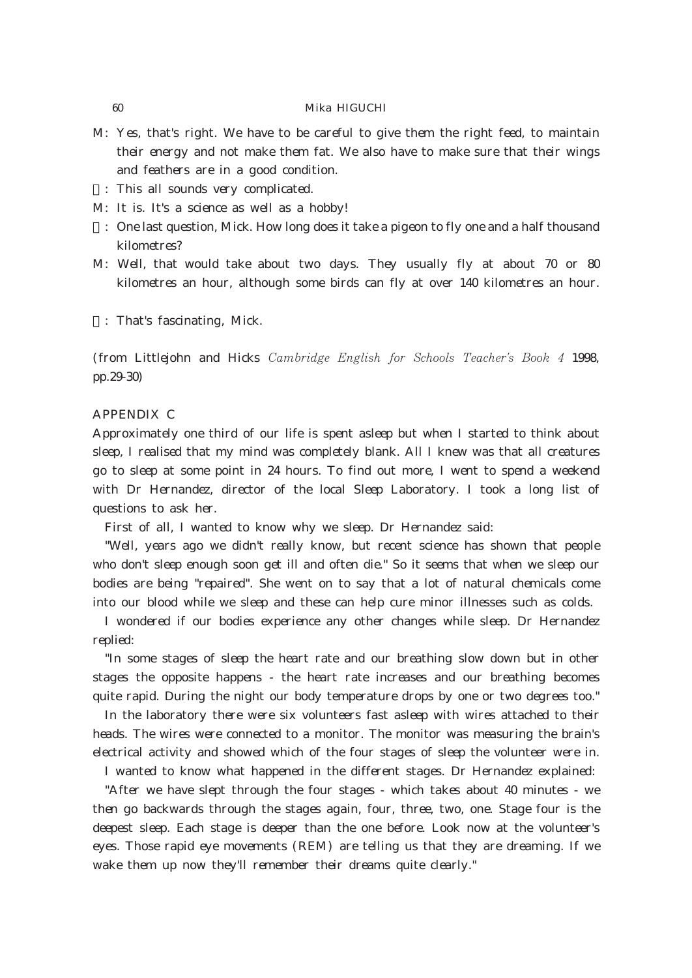- M: Yes, that's right. We have to be careful to give them the right feed, to maintain their energy and not make them fat. We also have to make sure that their wings and feathers are in a good condition.
	- : This all sounds very complicated.
- M: It is. It's a science as well as a hobby!
- I: One last question, Mick. How long does it take a pigeon to fly one and a half thousand kilometres?
- M: Well, that would take about two days. They usually fly at about 70 or 80 kilometres an hour, although some birds can fly at over 140 kilometres an hour.
	- : That's fascinating, Mick.

(from Littlejohn and Hicks Cambridge English for Schools Teacher's Book 4 1998, pp.29-30)

### APPENDIX C

Approximately one third of our life is spent asleep but when I started to think about sleep, I realised that my mind was completely blank. All I knew was that all creatures go to sleep at some point in 24 hours. To find out more, I went to spend a weekend with Dr Hernandez, director of the local Sleep Laboratory. I took a long list of questions to ask her.

First of all, I wanted to know why we sleep. Dr Hernandez said:

"Well, years ago we didn't really know, but recent science has shown that people who don't sleep enough soon get ill and often die." So it seems that when we sleep our bodies are being "repaired". She went on to say that a lot of natural chemicals come into our blood while we sleep and these can help cure minor illnesses such as colds.

I wondered if our bodies experience any other changes while sleep. Dr Hernandez replied:

"In some stages of sleep the heart rate and our breathing slow down but in other stages the opposite happens - the heart rate increases and our breathing becomes quite rapid. During the night our body temperature drops by one or two degrees too."

In the laboratory there were six volunteers fast asleep with wires attached to their heads. The wires were connected to a monitor. The monitor was measuring the brain's electrical activity and showed which of the four stages of sleep the volunteer were in.

I wanted to know what happened in the different stages. Dr Hernandez explained:

"After we have slept through the four stages - which takes about 40 minutes - we then go backwards through the stages again, four, three, two, one. Stage four is the deepest sleep. Each stage is deeper than the one before. Look now at the volunteer's eyes. Those rapid eye movements (REM) are telling us that they are dreaming. If we wake them up now they'll remember their dreams quite clearly."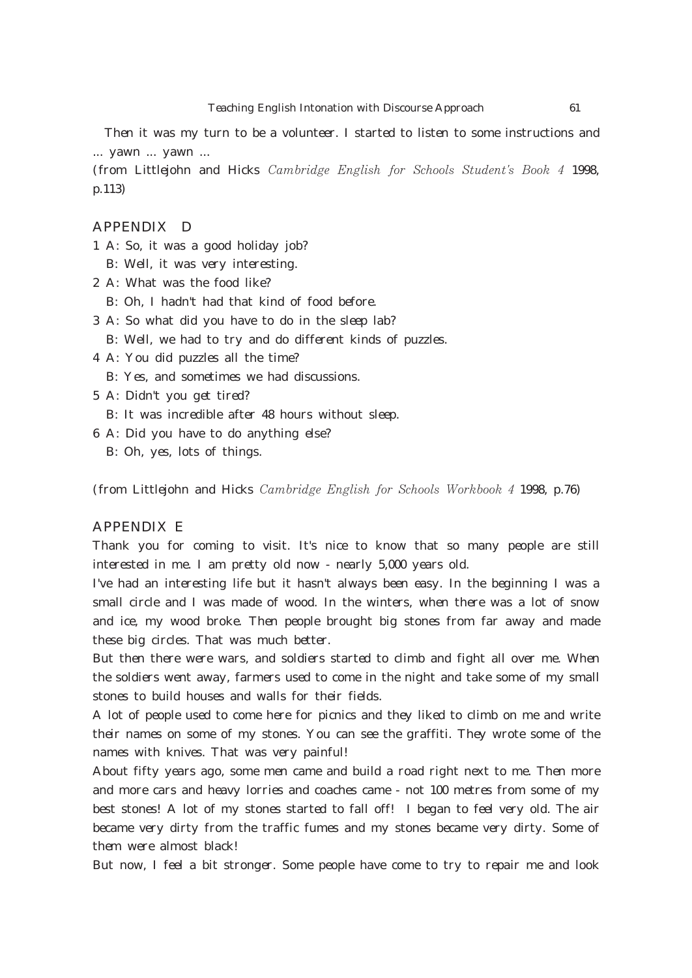Then it was my turn to be a volunteer. I started to listen to some instructions and ... yawn ... yawn ...

(from Littlejohn and Hicks Cambridge English for Schools Student's Book 4 1998, p.113)

# APPENDIX D

- 1 A: So, it was a good holiday job?
	- B: Well, it was very interesting.
- 2 A: What was the food like?
- B: Oh, I hadn't had that kind of food before.
- 3 A: So what did you have to do in the sleep lab?
	- B: Well, we had to try and do different kinds of puzzles.
- 4 A: You did puzzles all the time?
	- B: Yes, and sometimes we had discussions.
- 5 A: Didn't you get tired?
	- B: It was incredible after 48 hours without sleep.
- 6 A: Did you have to do anything else?
	- B: Oh, yes, lots of things.

(from Littlejohn and Hicks Cambridge English for Schools Workbook  $4$  1998, p.76)

# APPENDIX E

Thank you for coming to visit. It's nice to know that so many people are still interested in me. I am pretty old now - nearly 5,000 years old.

I've had an interesting life but it hasn't always been easy. In the beginning I was a small circle and I was made of wood. In the winters, when there was a lot of snow and ice, my wood broke. Then people brought big stones from far away and made these big circles. That was much better.

But then there were wars, and soldiers started to climb and fight all over me. When the soldiers went away, farmers used to come in the night and take some of my small stones to build houses and walls for their fields.

A lot of people used to come here for picnics and they liked to climb on me and write their names on some of my stones. You can see the graffiti. They wrote some of the names with knives. That was very painful!

About fifty years ago, some men came and build a road right next to me. Then more and more cars and heavy lorries and coaches came - not 100 metres from some of my best stones! A lot of my stones started to fall off! I began to feel very old. The air became very dirty from the traffic fumes and my stones became very dirty. Some of them were almost black!

But now, I feel a bit stronger. Some people have come to try to repair me and look